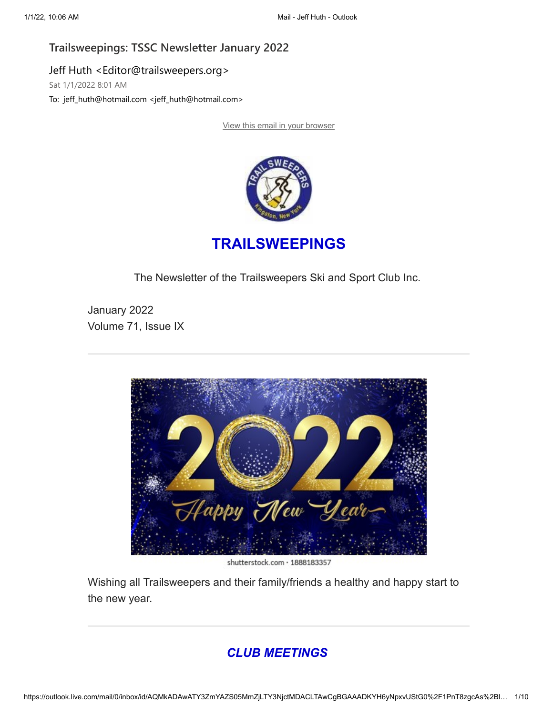### **Trailsweepings: TSSC Newsletter January 2022**

Jeff Huth <Editor@trailsweepers.org> Sat 1/1/2022 8:01 AM

To: jeff\_huth@hotmail.com <jeff\_huth@hotmail.com>

[View this email in your browser](https://na01.safelinks.protection.outlook.com/?url=https%3A%2F%2Fmailchi.mp%2Fecbbf76e58e7%2Ftrailsweepings-tssc-newsletter-january-2022%3Fe%3Ddb5c61ab33&data=04%7C01%7C%7Cc10e963173fe4f568b2c08d9cd26d33e%7C84df9e7fe9f640afb435aaaaaaaaaaaa%7C1%7C0%7C637766388908721470%7CUnknown%7CTWFpbGZsb3d8eyJWIjoiMC4wLjAwMDAiLCJQIjoiV2luMzIiLCJBTiI6Ik1haWwiLCJXVCI6Mn0%3D%7C3000&sdata=xIJSV3JYfNT5yX5n%2B543pgMjp2P7r9rqlddhy0Hwv9E%3D&reserved=0)



# **TRAILSWEEPINGS**

The Newsletter of the Trailsweepers Ski and Sport Club Inc.

January 2022 Volume 71, Issue IX



shutterstock.com · 1888183357

Wishing all Trailsweepers and their family/friends a healthy and happy start to the new year.

# *CLUB MEETINGS*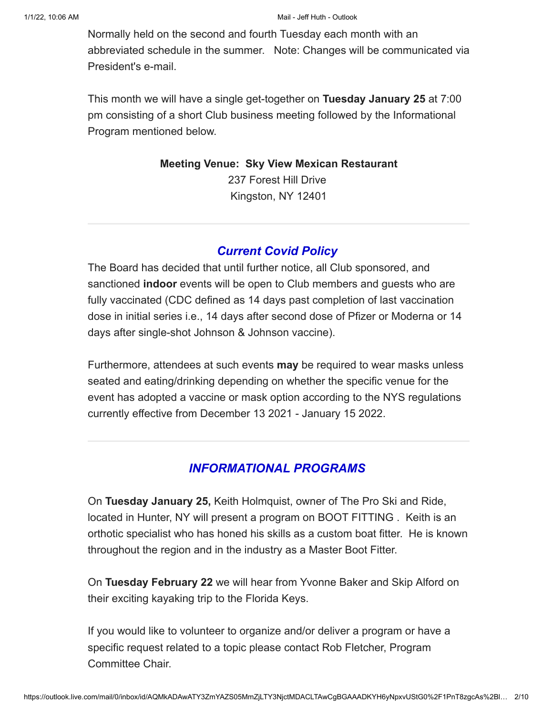#### 1/1/22, 10:06 AM Mail - Jeff Huth - Outlook

Normally held on the second and fourth Tuesday each month with an abbreviated schedule in the summer. Note: Changes will be communicated via President's e-mail.

This month we will have a single get-together on **Tuesday January 25** at 7:00 pm consisting of a short Club business meeting followed by the Informational Program mentioned below.

> **Meeting Venue: Sky View Mexican Restaurant** 237 Forest Hill Drive Kingston, NY 12401

## *Current Covid Policy*

The Board has decided that until further notice, all Club sponsored, and sanctioned **indoor** events will be open to Club members and guests who are fully vaccinated (CDC defined as 14 days past completion of last vaccination dose in initial series i.e., 14 days after second dose of Pfizer or Moderna or 14 days after single-shot Johnson & Johnson vaccine).

Furthermore, attendees at such events **may** be required to wear masks unless seated and eating/drinking depending on whether the specific venue for the event has adopted a vaccine or mask option according to the NYS regulations currently effective from December 13 2021 - January 15 2022.

# *INFORMATIONAL PROGRAMS*

On **Tuesday January 25,** Keith Holmquist, owner of The Pro Ski and Ride, located in Hunter, NY will present a program on BOOT FITTING . Keith is an orthotic specialist who has honed his skills as a custom boat fitter. He is known throughout the region and in the industry as a Master Boot Fitter.

On **Tuesday February 22** we will hear from Yvonne Baker and Skip Alford on their exciting kayaking trip to the Florida Keys.

If you would like to volunteer to organize and/or deliver a program or have a specific request related to a topic please contact Rob Fletcher, Program Committee Chair.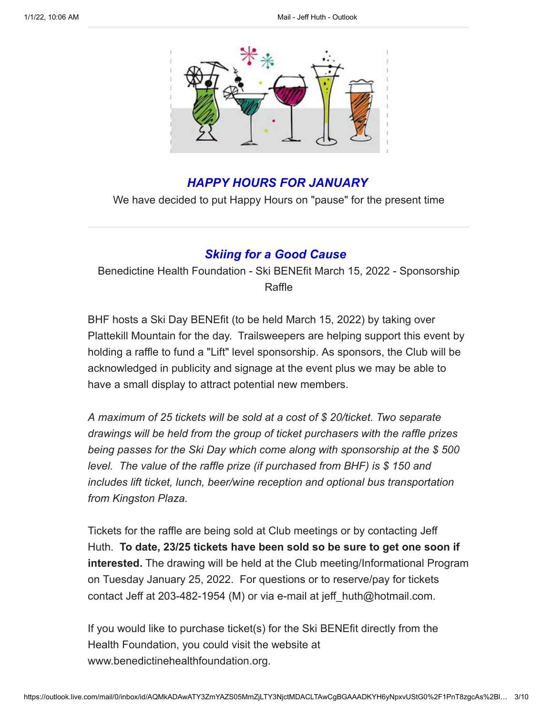

# *HAPPY HOURS FOR JANUARY*

We have decided to put Happy Hours on "pause" for the present time

### *Skiing for a Good Cause*

Benedictine Health Foundation - Ski BENEfit March 15, 2022 - Sponsorship Raffle

BHF hosts a Ski Day BENEfit (to be held March 15, 2022) by taking over Plattekill Mountain for the day. Trailsweepers are helping support this event by holding a raffle to fund a "Lift" level sponsorship. As sponsors, the Club will be acknowledged in publicity and signage at the event plus we may be able to have a small display to attract potential new members.

*A maximum of 25 tickets will be sold at a cost of \$ 20/ticket. Two separate drawings will be held from the group of ticket purchasers with the raffle prizes being passes for the Ski Day which come along with sponsorship at the \$ 500 level. The value of the raffle prize (if purchased from BHF) is \$ 150 and includes lift ticket, lunch, beer/wine reception and optional bus transportation from Kingston Plaza.*

Tickets for the raffle are being sold at Club meetings or by contacting Jeff Huth. **To date, 23/25 tickets have been sold so be sure to get one soon if interested.** The drawing will be held at the Club meeting/Informational Program on Tuesday January 25, 2022. For questions or to reserve/pay for tickets contact Jeff at 203-482-1954 (M) or via e-mail at jeff\_huth@hotmail.com.

If you would like to purchase ticket(s) for the Ski BENEfit directly from the Health Foundation, you could visit the website at www.benedictinehealthfoundation.org.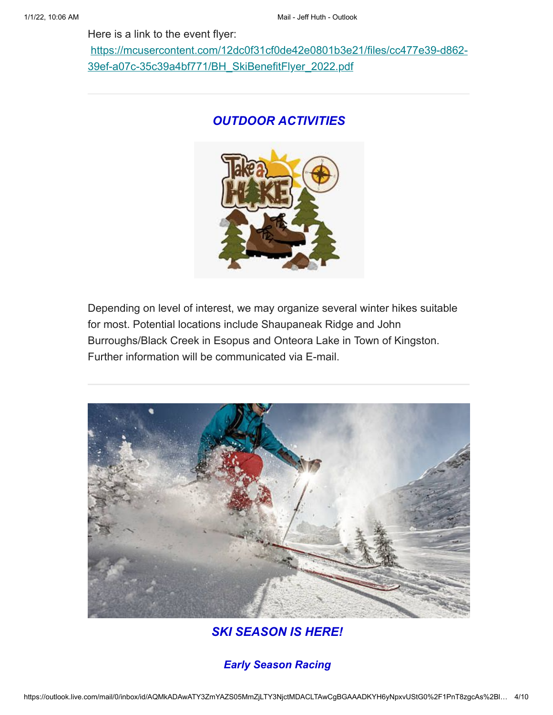Here is a link to the event flyer:

[https://mcusercontent.com/12dc0f31cf0de42e0801b3e21/files/cc477e39-d862-](https://na01.safelinks.protection.outlook.com/?url=https%3A%2F%2Fhotmail.us17.list-manage.com%2Ftrack%2Fclick%3Fu%3D12dc0f31cf0de42e0801b3e21%26id%3D16cd96d1e8%26e%3Ddb5c61ab33&data=04%7C01%7C%7Cc10e963173fe4f568b2c08d9cd26d33e%7C84df9e7fe9f640afb435aaaaaaaaaaaa%7C1%7C0%7C637766388908721470%7CUnknown%7CTWFpbGZsb3d8eyJWIjoiMC4wLjAwMDAiLCJQIjoiV2luMzIiLCJBTiI6Ik1haWwiLCJXVCI6Mn0%3D%7C3000&sdata=Gs1r9CRGKjt%2BcX6WMdYMG0A7Pr4bY90JUcf%2Fm9tBsqk%3D&reserved=0) 39ef-a07c-35c39a4bf771/BH\_SkiBenefitFlyer\_2022.pdf

## *OUTDOOR ACTIVITIES*



Depending on level of interest, we may organize several winter hikes suitable for most. Potential locations include Shaupaneak Ridge and John Burroughs/Black Creek in Esopus and Onteora Lake in Town of Kingston. Further information will be communicated via E-mail.



*SKI SEASON IS HERE!*

*Early Season Racing*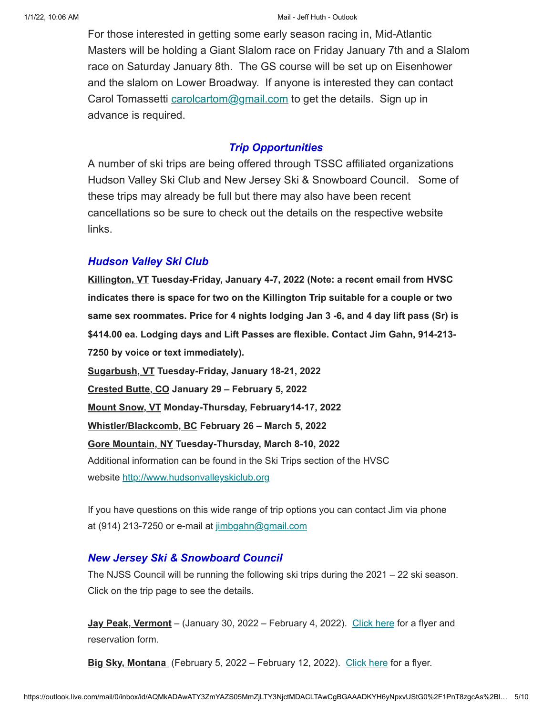For those interested in getting some early season racing in, Mid-Atlantic Masters will be holding a Giant Slalom race on Friday January 7th and a Slalom race on Saturday January 8th. The GS course will be set up on Eisenhower and the slalom on Lower Broadway. If anyone is interested they can contact Carol Tomassetti [carolcartom@gmail.com](mailto:carolcartom@gmail.com) to get the details. Sign up in advance is required.

#### *Trip Opportunities*

A number of ski trips are being offered through TSSC affiliated organizations Hudson Valley Ski Club and New Jersey Ski & Snowboard Council. Some of these trips may already be full but there may also have been recent cancellations so be sure to check out the details on the respective website links.

### *Hudson Valley Ski Club*

**Killington, VT Tuesday-Friday, January 4-7, 2022 (Note: a recent email from HVSC indicates there is space for two on the Killington Trip suitable for a couple or two same sex roommates. Price for 4 nights lodging Jan 3 -6, and 4 day lift pass (Sr) is \$414.00 ea. Lodging days and Lift Passes are flexible. Contact Jim Gahn, 914-213- 7250 by voice or text immediately). Sugarbush, VT Tuesday-Friday, January 18-21, 2022 Crested Butte, CO January 29 – February 5, 2022 Mount Snow, VT Monday-Thursday, February14-17, 2022 Whistler/Blackcomb, BC February 26 – March 5, 2022 Gore Mountain, NY Tuesday-Thursday, March 8-10, 2022** Additional information can be found in the Ski Trips section of the HVSC website [http://www.hudsonvalleyskiclub.org](https://na01.safelinks.protection.outlook.com/?url=https%3A%2F%2Fhotmail.us17.list-manage.com%2Ftrack%2Fclick%3Fu%3D12dc0f31cf0de42e0801b3e21%26id%3De532cb6efc%26e%3Ddb5c61ab33&data=04%7C01%7C%7Cc10e963173fe4f568b2c08d9cd26d33e%7C84df9e7fe9f640afb435aaaaaaaaaaaa%7C1%7C0%7C637766388908721470%7CUnknown%7CTWFpbGZsb3d8eyJWIjoiMC4wLjAwMDAiLCJQIjoiV2luMzIiLCJBTiI6Ik1haWwiLCJXVCI6Mn0%3D%7C3000&sdata=Noy8mU1bYTjHZo8ZBgymr8ml9vZoZ9DSqkjKNVEP%2FLU%3D&reserved=0)

If you have questions on this wide range of trip options you can contact Jim via phone at (914) 213-7250 or e-mail at [jimbgahn@gmail.com](mailto:jimbgahn@gmail.com)

### *New Jersey Ski & Snowboard Council*

The NJSS Council will be running the following ski trips during the 2021 – 22 ski season. Click on the trip page to see the details.

**Jay Peak, Vermont** – (January 30, 2022 – February 4, 2022). [Click here](https://na01.safelinks.protection.outlook.com/?url=https%3A%2F%2Fhotmail.us17.list-manage.com%2Ftrack%2Fclick%3Fu%3D12dc0f31cf0de42e0801b3e21%26id%3D1e46155638%26e%3Ddb5c61ab33&data=04%7C01%7C%7Cc10e963173fe4f568b2c08d9cd26d33e%7C84df9e7fe9f640afb435aaaaaaaaaaaa%7C1%7C0%7C637766388908721470%7CUnknown%7CTWFpbGZsb3d8eyJWIjoiMC4wLjAwMDAiLCJQIjoiV2luMzIiLCJBTiI6Ik1haWwiLCJXVCI6Mn0%3D%7C3000&sdata=ubugE3JHKo6754%2BvaN5RM0P1XZn2aP819Yv6IfZcLts%3D&reserved=0) for a flyer and reservation form.

**Big Sky, Montana** (February 5, 2022 – February 12, 2022). [Click here](https://na01.safelinks.protection.outlook.com/?url=https%3A%2F%2Fhotmail.us17.list-manage.com%2Ftrack%2Fclick%3Fu%3D12dc0f31cf0de42e0801b3e21%26id%3D945027faf2%26e%3Ddb5c61ab33&data=04%7C01%7C%7Cc10e963173fe4f568b2c08d9cd26d33e%7C84df9e7fe9f640afb435aaaaaaaaaaaa%7C1%7C0%7C637766388908721470%7CUnknown%7CTWFpbGZsb3d8eyJWIjoiMC4wLjAwMDAiLCJQIjoiV2luMzIiLCJBTiI6Ik1haWwiLCJXVCI6Mn0%3D%7C3000&sdata=Kiu7%2Byij1x2pARYHk2wbkaOVlEhgJqRodJsZfEwjAkw%3D&reserved=0) for a flyer.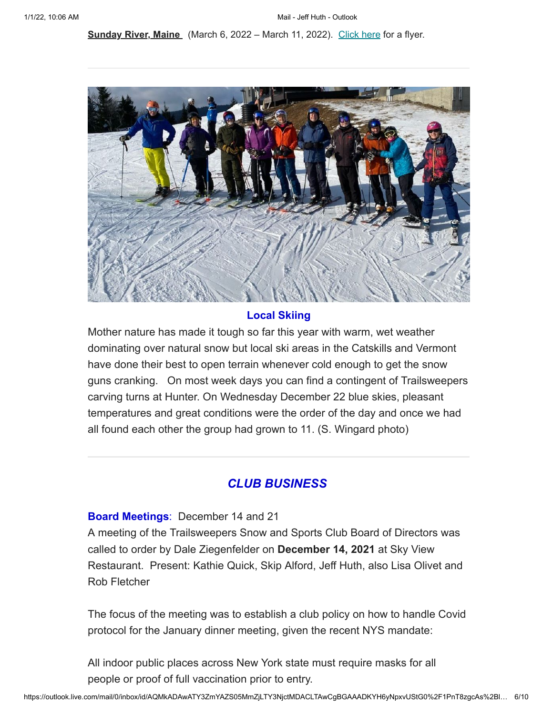**Sunday River, Maine** (March 6, 2022 – March 11, 2022). [Click here](https://na01.safelinks.protection.outlook.com/?url=https%3A%2F%2Fhotmail.us17.list-manage.com%2Ftrack%2Fclick%3Fu%3D12dc0f31cf0de42e0801b3e21%26id%3Dfd2e56b4a9%26e%3Ddb5c61ab33&data=04%7C01%7C%7Cc10e963173fe4f568b2c08d9cd26d33e%7C84df9e7fe9f640afb435aaaaaaaaaaaa%7C1%7C0%7C637766388908721470%7CUnknown%7CTWFpbGZsb3d8eyJWIjoiMC4wLjAwMDAiLCJQIjoiV2luMzIiLCJBTiI6Ik1haWwiLCJXVCI6Mn0%3D%7C3000&sdata=UhEXuKenWhYgo8TZfKw25CO%2Bv%2B60orBZhzc3kabSkJ4%3D&reserved=0) for a flyer.



#### **Local Skiing**

Mother nature has made it tough so far this year with warm, wet weather dominating over natural snow but local ski areas in the Catskills and Vermont have done their best to open terrain whenever cold enough to get the snow guns cranking. On most week days you can find a contingent of Trailsweepers carving turns at Hunter. On Wednesday December 22 blue skies, pleasant temperatures and great conditions were the order of the day and once we had all found each other the group had grown to 11. (S. Wingard photo)

### *CLUB BUSINESS*

**Board Meetings**: December 14 and 21

A meeting of the Trailsweepers Snow and Sports Club Board of Directors was called to order by Dale Ziegenfelder on **December 14, 2021** at Sky View Restaurant. Present: Kathie Quick, Skip Alford, Jeff Huth, also Lisa Olivet and Rob Fletcher

The focus of the meeting was to establish a club policy on how to handle Covid protocol for the January dinner meeting, given the recent NYS mandate:

All indoor public places across New York state must require masks for all people or proof of full vaccination prior to entry.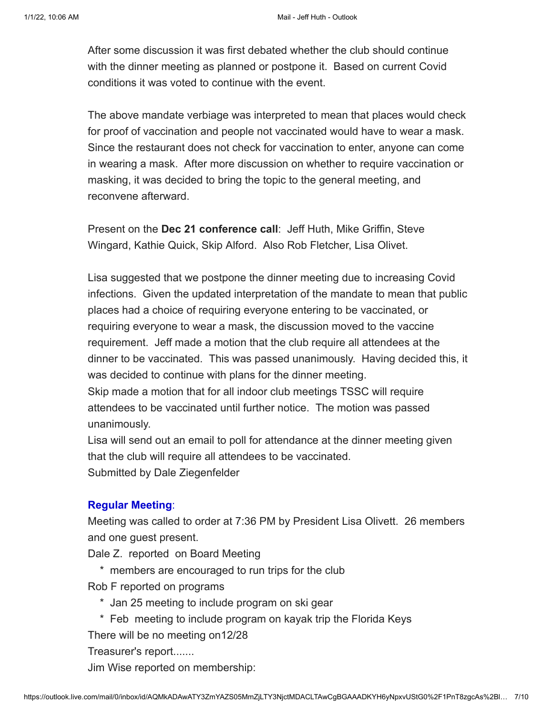After some discussion it was first debated whether the club should continue with the dinner meeting as planned or postpone it. Based on current Covid conditions it was voted to continue with the event.

The above mandate verbiage was interpreted to mean that places would check for proof of vaccination and people not vaccinated would have to wear a mask. Since the restaurant does not check for vaccination to enter, anyone can come in wearing a mask. After more discussion on whether to require vaccination or masking, it was decided to bring the topic to the general meeting, and reconvene afterward.

Present on the **Dec 21 conference call**: Jeff Huth, Mike Griffin, Steve Wingard, Kathie Quick, Skip Alford. Also Rob Fletcher, Lisa Olivet.

Lisa suggested that we postpone the dinner meeting due to increasing Covid infections. Given the updated interpretation of the mandate to mean that public places had a choice of requiring everyone entering to be vaccinated, or requiring everyone to wear a mask, the discussion moved to the vaccine requirement. Jeff made a motion that the club require all attendees at the dinner to be vaccinated. This was passed unanimously. Having decided this, it was decided to continue with plans for the dinner meeting.

Skip made a motion that for all indoor club meetings TSSC will require attendees to be vaccinated until further notice. The motion was passed unanimously.

Lisa will send out an email to poll for attendance at the dinner meeting given that the club will require all attendees to be vaccinated. Submitted by Dale Ziegenfelder

#### **Regular Meeting**:

Meeting was called to order at 7:36 PM by President Lisa Olivett. 26 members and one guest present.

Dale Z. reported on Board Meeting

\* members are encouraged to run trips for the club

Rob F reported on programs

- \* Jan 25 meeting to include program on ski gear
- \* Feb meeting to include program on kayak trip the Florida Keys

There will be no meeting on12/28

Treasurer's report.......

Jim Wise reported on membership: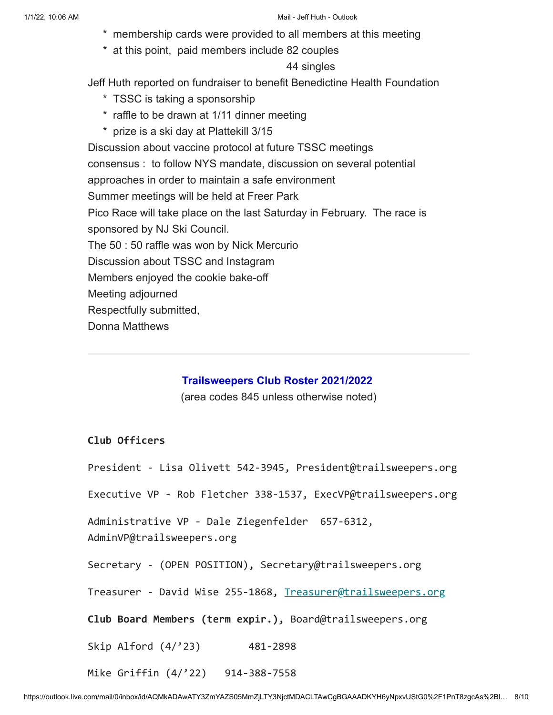- \* membership cards were provided to all members at this meeting
- \* at this point, paid members include 82 couples

#### 44 singles

Jeff Huth reported on fundraiser to benefit Benedictine Health Foundation

- \* TSSC is taking a sponsorship
- \* raffle to be drawn at 1/11 dinner meeting
- \* prize is a ski day at Plattekill 3/15

Discussion about vaccine protocol at future TSSC meetings consensus : to follow NYS mandate, discussion on several potential approaches in order to maintain a safe environment Summer meetings will be held at Freer Park Pico Race will take place on the last Saturday in February. The race is sponsored by NJ Ski Council. The 50 : 50 raffle was won by Nick Mercurio Discussion about TSSC and Instagram Members enjoyed the cookie bake-off Meeting adjourned Respectfully submitted, Donna Matthews

### **Trailsweepers Club Roster 2021/2022**

(area codes 845 unless otherwise noted)

### **Club Officers**

President - Lisa Olivett 542-3945, President@trailsweepers.org Executive VP - Rob Fletcher 338-1537, ExecVP@trailsweepers.org Administrative VP - Dale Ziegenfelder 657-6312, AdminVP@trailsweepers.org Secretary - (OPEN POSITION), Secretary@trailsweepers.org Treasurer - David Wise 255-1868, [Treasurer@trailsweepers.org](mailto:Treasurer@trailsweepers.org) **Club Board Members (term expir.),** Board@trailsweepers.org Skip Alford (4/'23) 481-2898 Mike Griffin (4/'22) 914-388-7558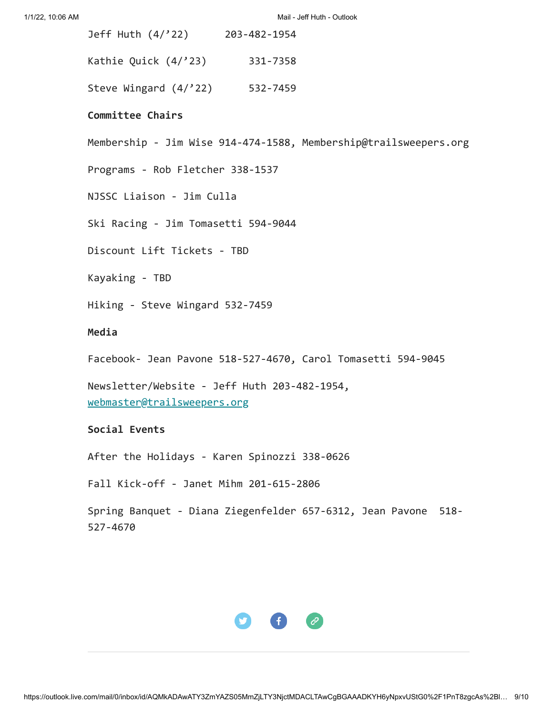| Jeff Huth $(4/22)$     | 203-482-1954 |
|------------------------|--------------|
| Kathie Quick $(4/23)$  | 331-7358     |
| Steve Wingard $(4/22)$ | 532-7459     |

#### **Committee Chairs**

Membership - Jim Wise 914-474-1588, Membership@trailsweepers.org

Programs - Rob Fletcher 338-1537

NJSSC Liaison - Jim Culla

Ski Racing - Jim Tomasetti 594-9044

Discount Lift Tickets - TBD

Kayaking - TBD

Hiking - Steve Wingard 532-7459

#### **Media**

Facebook- Jean Pavone 518-527-4670, Carol Tomasetti 594-9045

Newsletter/Website - Jeff Huth 203-482-1954, [webmaster@trailsweepers.org](mailto:webmaster@trailsweepers.org)

#### **Social Events**

After the Holidays - Karen Spinozzi 338-0626

Fall Kick-off - Janet Mihm 201-615-2806

Spring Banquet - Diana Ziegenfelder 657-6312, Jean Pavone 518- 527-4670